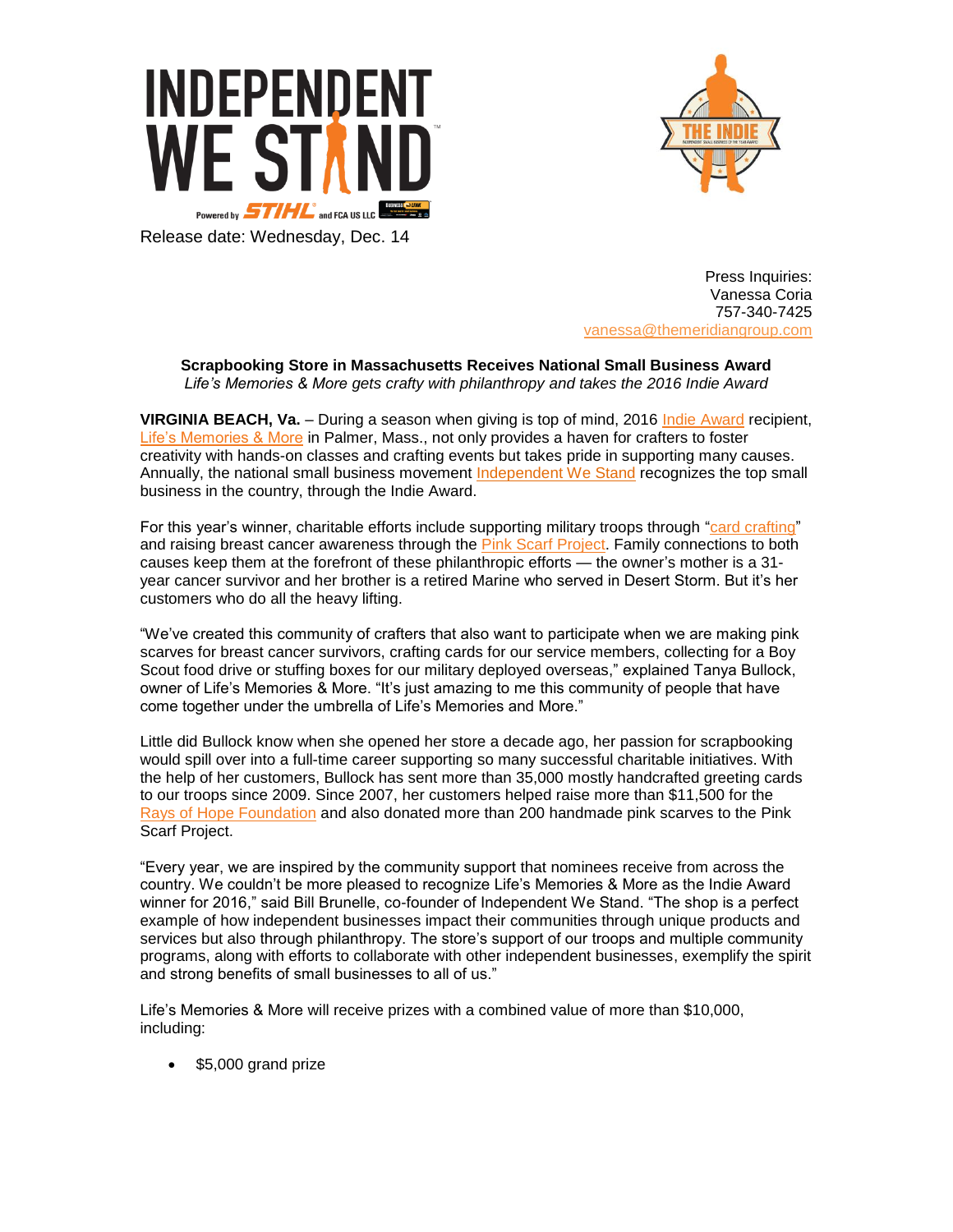



Release date: Wednesday, Dec. 14

Press Inquiries: Vanessa Coria 757-340-7425 vanessa[@themeridiangroup.](mailto:vanessa@themeridiangroup.com)com

**Scrapbooking Store in Massachusetts Receives National Small Business Award**  *Life's Memories & More gets crafty with philanthropy and takes the 2016 Indie Award*

**VIRGINIA BEACH, Va.** – During a season when giving is top of mind, 2016 [Indie Award](http://www.indiebizaward.com/) recipient, [Life's Memories & More](http://www.lifesmemoriesandmore.com/) in Palmer, Mass., not only provides a haven for crafters to foster creativity with hands-on classes and crafting events but takes pride in supporting many causes. Annually, the national small business movement [Independent We Stand](http://www.independentwestand.org/) recognizes the top small business in the country, through the Indie Award.

For this year's winner, charitable efforts include supporting military troops through ["card crafting"](http://www.lifesmemoriesandmore.com/causes.html) and raising breast cancer awareness through the [Pink Scarf Project.](http://www.thebullocks.net/sfh2014.pdf) Family connections to both causes keep them at the forefront of these philanthropic efforts — the owner's mother is a 31 year cancer survivor and her brother is a retired Marine who served in Desert Storm. But it's her customers who do all the heavy lifting.

"We've created this community of crafters that also want to participate when we are making pink scarves for breast cancer survivors, crafting cards for our service members, collecting for a Boy Scout food drive or stuffing boxes for our military deployed overseas," explained Tanya Bullock, owner of Life's Memories & More. "It's just amazing to me this community of people that have come together under the umbrella of Life's Memories and More."

Little did Bullock know when she opened her store a decade ago, her passion for scrapbooking would spill over into a full-time career supporting so many successful charitable initiatives. With the help of her customers, Bullock has sent more than 35,000 mostly handcrafted greeting cards to our troops since 2009. Since 2007, her customers helped raise more than \$11,500 for the [Rays of Hope](http://bayhf.convio.net/site/TR/Events/General?pg=entry&fr_id=1070) Foundation and also donated more than 200 handmade pink scarves to the Pink Scarf Project.

"Every year, we are inspired by the community support that nominees receive from across the country. We couldn't be more pleased to recognize Life's Memories & More as the Indie Award winner for 2016," said Bill Brunelle, co-founder of Independent We Stand. "The shop is a perfect example of how independent businesses impact their communities through unique products and services but also through philanthropy. The store's support of our troops and multiple community programs, along with efforts to collaborate with other independent businesses, exemplify the spirit and strong benefits of small businesses to all of us."

Life's Memories & More will receive prizes with a combined value of more than \$10,000, including:

\$5,000 grand prize